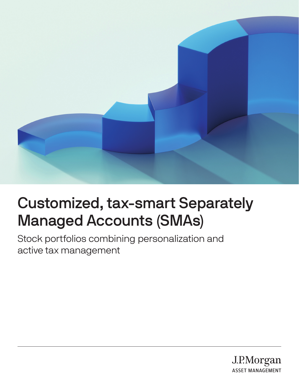

# Customized, tax-smart Separately Managed Accounts (SMAs)

Stock portfolios combining personalization and active tax management

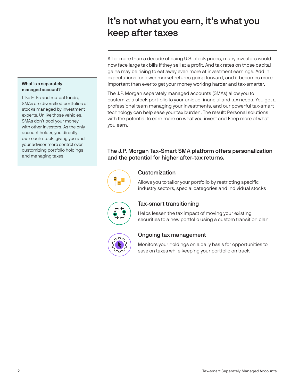## It's not what you earn, it's what you keep after taxes

After more than a decade of rising U.S. stock prices, many investors would now face large tax bills if they sell at a profit. And tax rates on those capital gains may be rising to eat away even more at investment earnings. Add in expectations for lower market returns going forward, and it becomes more important than ever to get your money working harder and tax-smarter.

The J.P. Morgan separately managed accounts (SMAs) allow you to customize a stock portfolio to your unique financial and tax needs. You get a professional team managing your investments, and our powerful tax-smart technology can help ease your tax burden. The result: Personal solutions with the potential to earn more on what you invest and keep more of what you earn.

## The J.P. Morgan Tax-Smart SMA platform offers personalization and the potential for higher after-tax returns.



## Customization

Allows you to tailor your portfolio by restricting specific industry sectors, special categories and individual stocks



## Tax-smart transitioning

Helps lessen the tax impact of moving your existing securities to a new portfolio using a custom transition plan



## Ongoing tax management

Monitors your holdings on a daily basis for opportunities to save on taxes while keeping your portfolio on track

#### What is a separately managed account?

Like ETFs and mutual funds, SMAs are diversified portfolios of stocks managed by investment experts. Unlike those vehicles, SMAs don't pool your money with other investors. As the only account holder, you directly own each stock, giving you and your advisor more control over customizing portfolio holdings and managing taxes.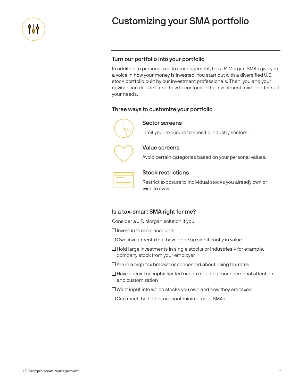

## Customizing your SMA portfolio

## Turn our portfolio into your portfolio

In addition to personalized tax management, the J.P. Morgan SMAs give you a voice in how your money is invested. You start out with a diversified U.S. stock portfolio built by our investment professionals. Then, you and your advisor can decide if and how to customize the investment mix to better suit your needs.

## Three ways to customize your portfolio



Sector screens

Limit your exposure to specific industry sectors.



Value screens

Avoid certain categories based on your personal values.

#### Stock restrictions

Restrict exposure to individual stocks you already own or wish to avoid.

### Is a tax-smart SMA right for me?

Consider a J.P. Morgan solution if you:

 $\Box$  Invest in taxable accounts

 $\Box$  Own investments that have gone up significantly in value

 $\Box$  Hold large investments in single stocks or industries – for example, company stock from your employer

 $\Box$  Are in a high tax bracket or concerned about rising tax rates

 $\Box$  Have special or sophisticated needs requiring more personal attention and customization

 $\Box$  Want input into which stocks you own and how they are taxed

□ Can meet the higher account minimums of SMAs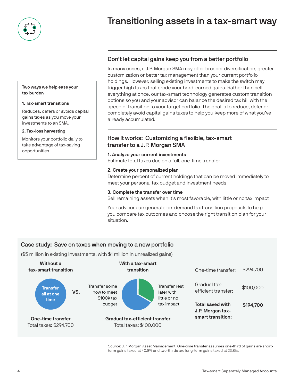

## Transitioning assets in a tax-smart way

#### Two ways we help ease your tax burden

#### 1. Tax-smart transitions

Reduces, defers or avoids capital gains taxes as you move your investments to an SMA.

#### 2. Tax-loss harvesting

Monitors your portfolio daily to take advantage of tax-saving opportunities.

## Don't let capital gains keep you from a better portfolio

In many cases, a J.P. Morgan SMA may offer broader diversification, greater customization or better tax management than your current portfolio holdings. However, selling existing investments to make the switch may trigger high taxes that erode your hard-earned gains. Rather than sell everything at once, our tax-smart technology generates custom transition options so you and your advisor can balance the desired tax bill with the speed of transition to your target portfolio. The goal is to reduce, defer or completely avoid capital gains taxes to help you keep more of what you've already accumulated.

### How it works: Customizing a flexible, tax-smart transfer to a J.P. Morgan SMA

#### 1. Analyze your current investments

Estimate total taxes due on a full, one-time transfer

#### 2. Create your personalized plan

Determine percent of current holdings that can be moved immediately to meet your personal tax budget and investment needs

#### 3. Complete the transfer over time

Sell remaining assets when it's most favorable, with little or no tax impact

Your advisor can generate on-demand tax transition proposals to help you compare tax outcomes and choose the right transition plan for your situation.

## Case study: Save on taxes when moving to a new portfolio

(\$5 million in existing investments, with \$1 million in unrealized gains)



Source: J.P. Morgan Asset Management. One-time transfer assumes one-third of gains are shortterm gains taxed at 40.8% and two-thirds are long-term gains taxed at 23.8%.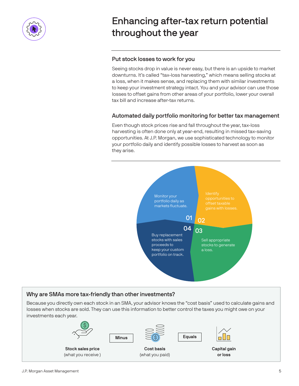

## Enhancing after-tax return potential throughout the year

## Put stock losses to work for you

Seeing stocks drop in value is never easy, but there is an upside to market downturns. It's called "tax-loss harvesting," which means selling stocks at a loss, when it makes sense, and replacing them with similar investments to keep your investment strategy intact. You and your advisor can use those losses to offset gains from other areas of your portfolio, lower your overall tax bill and increase after-tax returns.

## Automated daily portfolio monitoring for better tax management

Even though stock prices rise and fall throughout the year, tax-loss harvesting is often done only at year-end, resulting in missed tax-saving opportunities. At J.P. Morgan, we use sophisticated technology to monitor your portfolio daily and identify possible losses to harvest as soon as they arise.



## Why are SMAs more tax-friendly than other investments?

Because you directly own each stock in an SMA, your advisor knows the "cost basis" used to calculate gains and losses when stocks are sold. They can use this information to better control the taxes you might owe on your investments each year.

(what you paid)







Capital gain or loss

Stock sales price (what you receive )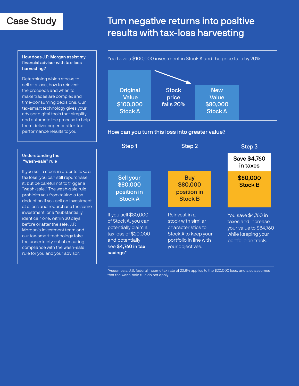## Case Study

## Turn negative returns into positive results with tax-loss harvesting

#### How does J.P. Morgan assist my financial advisor with tax-loss harvesting?

Determining which stocks to sell at a loss, how to reinvest the proceeds and when to make trades are complex and time-consuming decisions. Our tax-smart technology gives your advisor digital tools that simplify and automate the process to help them deliver superior after-tax performance results to you.

#### Understanding the "wash-sale" rule

If you sell a stock in order to take a tax loss, you can still repurchase it, but be careful not to trigger a "wash-sale." The wash-sale rule prohibits you from taking a tax deduction if you sell an investment at a loss and repurchase the same investment, or a "substantially identical" one, within 30 days before or after the sale. J.P. Morgan's investment team and our tax-smart technology take the uncertainty out of ensuring compliance with the wash-sale rule for you and your advisor.

#### You have a \$100,000 investment in Stock A and the price falls by 20%



### How can you turn this loss into greater value?

| Step 1                                                                                                                                          | Step 2                                                                                                                          | Step 3                                                                                                           |
|-------------------------------------------------------------------------------------------------------------------------------------------------|---------------------------------------------------------------------------------------------------------------------------------|------------------------------------------------------------------------------------------------------------------|
|                                                                                                                                                 |                                                                                                                                 | Save \$4,760<br>in taxes                                                                                         |
| Sell your<br>\$80,000<br>position in<br><b>Stock A</b>                                                                                          | <b>Buy</b><br>\$80,000<br>position in<br><b>Stock B</b>                                                                         | \$80,000<br><b>Stock B</b>                                                                                       |
| If you sell \$80,000<br>of Stock A, you can<br>potentially claim a<br>tax loss of \$20,000<br>and potentially<br>see \$4,760 in tax<br>savings* | Reinvest in a<br>stock with similar<br>characteristics to<br>Stock A to keep your<br>portfolio in line with<br>your objectives. | You save \$4,760 in<br>taxes and increase<br>your value to \$84,760<br>while keeping your<br>portfolio on track. |

\*Assumes a U.S. federal income tax rate of 23.8% applies to the \$20,000 loss, and also assumes that the wash-sale rule do not apply.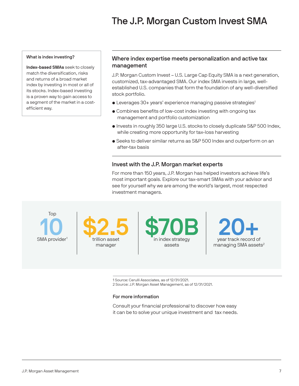## The J.P. Morgan Custom Invest SMA

#### What is index investing?

Index-based SMAs seek to closely match the diversification, risks and returns of a broad market index by investing in most or all of its stocks. Index-based investing is a proven way to gain access to a segment of the market in a costefficient way.

### Where index expertise meets personalization and active tax management

J.P. Morgan Custom Invest – U.S. Large Cap Equity SMA is a next generation, customized, tax-advantaged SMA. Our index SMA invests in large, wellestablished U.S. companies that form the foundation of any well-diversified stock portfolio.

- Leverages 30+ years' experience managing passive strategies<sup>1</sup>
- Combines benefits of low-cost index investing with ongoing tax management and portfolio customization
- Invests in roughly 350 large U.S. stocks to closely duplicate S&P 500 Index, while creating more opportunity for tax-loss harvesting
- Seeks to deliver similar returns as S&P 500 Index and outperform on an after-tax basis

### Invest with the J.P. Morgan market experts

For more than 150 years, J.P. Morgan has helped investors achieve life's most important goals. Explore our tax-smart SMAs with your advisor and see for yourself why we are among the world's largest, most respected investment managers.

SMA provider<sup>1</sup> Top

\$2.5 trillion asset manager

\$70B in index strategy assets



1 Source: Cerulli Associates, as of 12/31/2021.

2 Source: J.P. Morgan Asset Management, as of 12/31/2021.

#### For more information

Consult your financial professional to discover how easy it can be to solve your unique investment and tax needs.